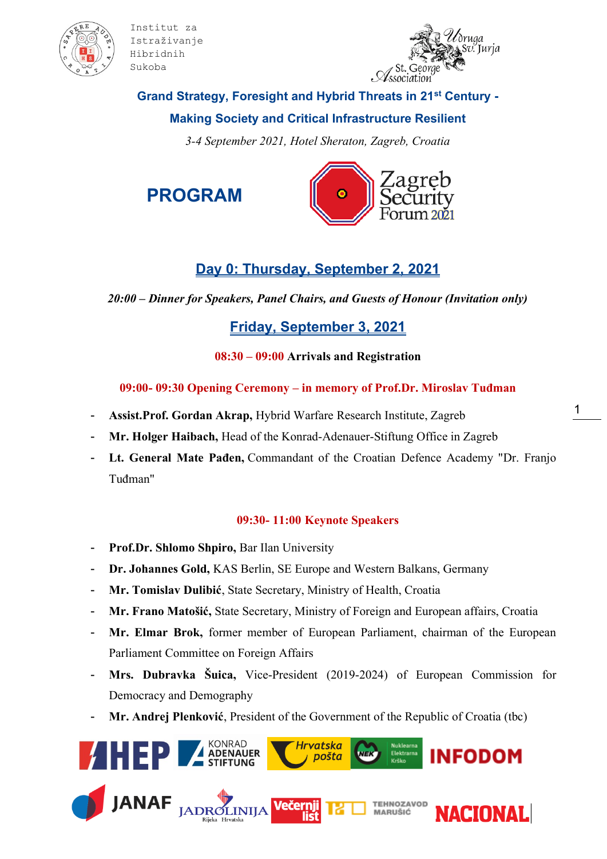



## **Grand Strategy, Foresight and Hybrid Threats in 21st Century -**

## **Making Society and Critical Infrastructure Resilient**

*3-4 September 2021, Hotel Sheraton, Zagreb, Croatia*

**PROGRAM**



# **Day 0: Thursday, September 2, 2021**

*20:00 – Dinner for Speakers, Panel Chairs, and Guests of Honour (Invitation only)*

## **Friday, September 3, 2021**

**08:30 – 09:00 Arrivals and Registration**

**09:00- 09:30 Opening Ceremony – in memory of Prof.Dr. Miroslav Tuđman**

- **Assist.Prof. Gordan Akrap,** Hybrid Warfare Research Institute, Zagreb
- **Mr. Holger Haibach,** Head of the Konrad-Adenauer-Stiftung Office in Zagreb
- Lt. General Mate Pađen, Commandant of the Croatian Defence Academy "Dr. Franjo Tuđman"

## **09:30- 11:00 Keynote Speakers**

- **Prof.Dr. Shlomo Shpiro,** Bar Ilan University
- **Dr. Johannes Gold,** KAS Berlin, SE Europe and Western Balkans, Germany
- **Mr. Tomislav Dulibić**, State Secretary, Ministry of Health, Croatia
- Mr. Frano Matošić, State Secretary, Ministry of Foreign and European affairs, Croatia
- **Mr. Elmar Brok,** former member of European Parliament, chairman of the European Parliament Committee on Foreign Affairs
- **Mrs. Dubravka Šuica,** Vice-President (2019-2024) of European Commission for Democracy and Demography
- Mr. Andrej Plenković, President of the Government of the Republic of Croatia (tbc)

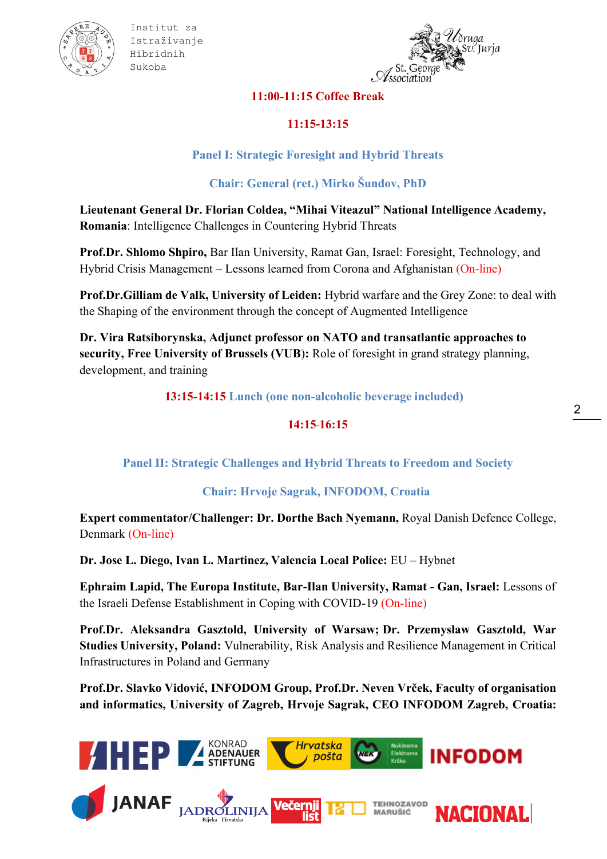



#### **11:00-11:15 Coffee Break**

## **11:15-13:15**

## **Panel I: Strategic Foresight and Hybrid Threats**

## **Chair: General (ret.) Mirko Šundov, PhD**

**Lieutenant General Dr. Florian Coldea, "Mihai Viteazul" National Intelligence Academy, Romania**: Intelligence Challenges in Countering Hybrid Threats

**Prof.Dr. Shlomo Shpiro,** Bar Ilan University, Ramat Gan, Israel: Foresight, Technology, and Hybrid Crisis Management – Lessons learned from Corona and Afghanistan (On-line)

**Prof.Dr.Gilliam de Valk, University of Leiden:** Hybrid warfare and the Grey Zone: to deal with the Shaping of the environment through the concept of Augmented Intelligence

**Dr. Vira Ratsiborynska, Adjunct professor on NATO and transatlantic approaches to security, Free University of Brussels (VUB**)**:** Role of foresight in grand strategy planning, development, and training

**13:15-14:15 Lunch (one non-alcoholic beverage included)**

#### **14:15 16:15**

#### **Panel II: Strategic Challenges and Hybrid Threats to Freedom and Society**

#### **Chair: Hrvoje Sagrak, INFODOM, Croatia**

**Expert commentator/Challenger: Dr. Dorthe Bach Nyemann,** Royal Danish Defence College, Denmark (On-line)

**Dr. Jose L. Diego, Ivan L. Martinez, Valencia Local Police:** EU – Hybnet

**Ephraim Lapid, The Europa Institute, Bar-Ilan University, Ramat - Gan, Israel:** Lessons of the Israeli Defense Establishment in Coping with COVID-19 (On-line)

**Prof.Dr. Aleksandra Gasztold, University of Warsaw; Dr. Przemysław Gasztold, War Studies University, Poland:** Vulnerability, Risk Analysis and Resilience Management in Critical Infrastructures in Poland and Germany

**Prof.Dr. Slavko Vidović, INFODOM Group, Prof.Dr. Neven Vrček, Faculty of organisation and informatics, University of Zagreb, Hrvoje Sagrak, CEO INFODOM Zagreb, Croatia:** 

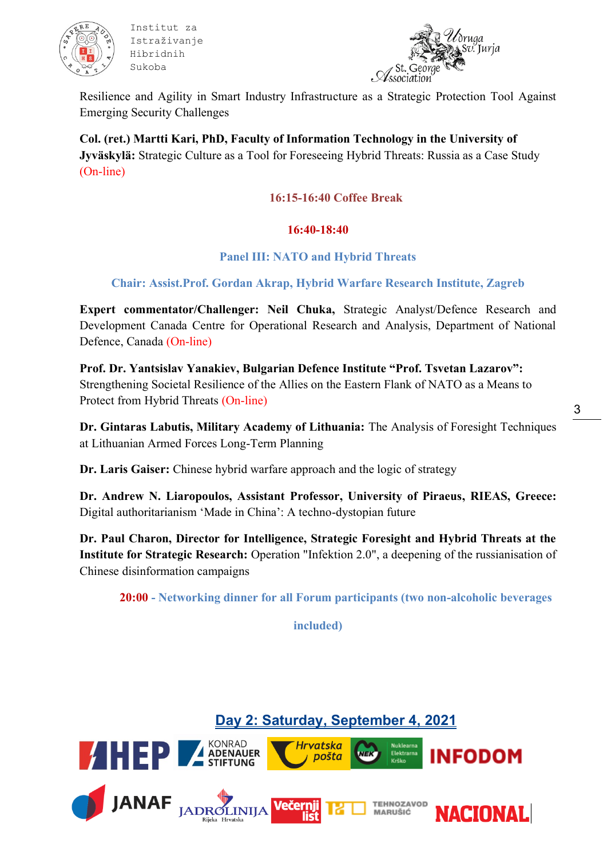



Resilience and Agility in Smart Industry Infrastructure as a Strategic Protection Tool Against Emerging Security Challenges

**Col. (ret.) Martti Kari, PhD, Faculty of Information Technology in the University of Jyväskylä:** Strategic Culture as a Tool for Foreseeing Hybrid Threats: Russia as a Case Study (On-line)

#### **16:15-16:40 Coffee Break**

#### **16:40-18:40**

#### **Panel III: NATO and Hybrid Threats**

#### **Chair: Assist.Prof. Gordan Akrap, Hybrid Warfare Research Institute, Zagreb**

**Expert commentator/Challenger: Neil Chuka,** Strategic Analyst/Defence Research and Development Canada Centre for Operational Research and Analysis, Department of National Defence, Canada (On-line)

**Prof. Dr. Yantsislav Yanakiev, Bulgarian Defence Institute "Prof. Tsvetan Lazarov":**  Strengthening Societal Resilience of the Allies on the Eastern Flank of NATO as a Means to Protect from Hybrid Threats (On-line)

**Dr. Gintaras Labutis, Military Academy of Lithuania:** The Analysis of Foresight Techniques at Lithuanian Armed Forces Long-Term Planning

**Dr. Laris Gaiser:** Chinese hybrid warfare approach and the logic of strategy

**Dr. Andrew N. Liaropoulos, Assistant Professor, University of Piraeus, RIEAS, Greece:**  Digital authoritarianism 'Made in China': A techno-dystopian future

**Dr. Paul Charon, Director for Intelligence, Strategic Foresight and Hybrid Threats at the Institute for Strategic Research:** Operation "Infektion 2.0", a deepening of the russianisation of Chinese disinformation campaigns

**20:00 - Networking dinner for all Forum participants (two non-alcoholic beverages** 

**included)**

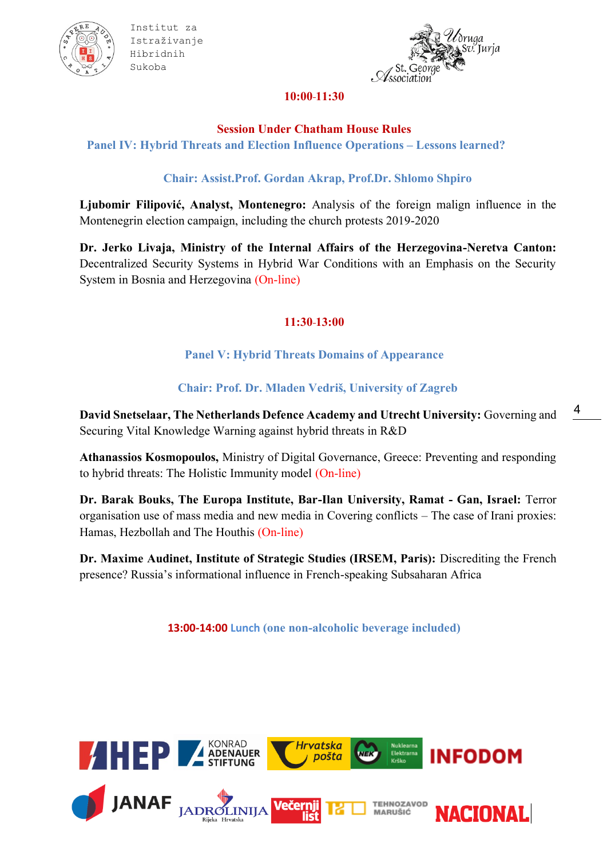



#### **10:00 11:30**

#### **Session Under Chatham House Rules**

**Panel IV: Hybrid Threats and Election Influence Operations – Lessons learned?**

## **Chair: Assist.Prof. Gordan Akrap, Prof.Dr. Shlomo Shpiro**

**Ljubomir Filipović, Analyst, Montenegro:** Analysis of the foreign malign influence in the Montenegrin election campaign, including the church protests 2019-2020

**Dr. Jerko Livaja, Ministry of the Internal Affairs of the Herzegovina-Neretva Canton:**  Decentralized Security Systems in Hybrid War Conditions with an Emphasis on the Security System in Bosnia and Herzegovina (On-line)

## **11:30 13:00**

**Panel V: Hybrid Threats Domains of Appearance**

**Chair: Prof. Dr. Mladen Vedriš, University of Zagreb**

**David Snetselaar, The Netherlands Defence Academy and Utrecht University:** Governing and Securing Vital Knowledge Warning against hybrid threats in R&D

**Athanassios Kosmopoulos,** Ministry of Digital Governance, Greece: Preventing and responding to hybrid threats: The Holistic Immunity model (On-line)

**Dr. Barak Bouks, The Europa Institute, Bar-Ilan University, Ramat - Gan, Israel:** Terror organisation use of mass media and new media in Covering conflicts – The case of Irani proxies: Hamas, Hezbollah and The Houthis (On-line)

**Dr. Maxime Audinet, Institute of Strategic Studies (IRSEM, Paris):** Discrediting the French presence? Russia's informational influence in French-speaking Subsaharan Africa

**13:00-14:00 Lunch (one non-alcoholic beverage included)**



4